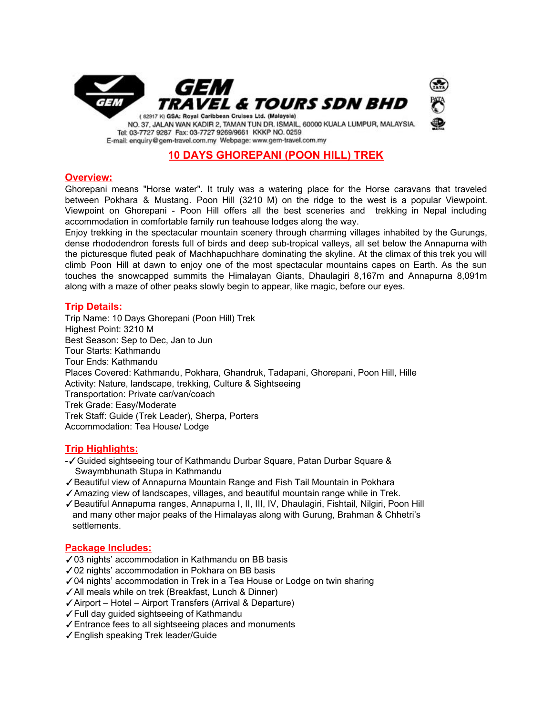

# **10 DAYS GHOREPANI (POON HILL) TREK**

## **Overview:**

Ghorepani means "Horse water". It truly was a watering place for the Horse caravans that traveled between Pokhara & Mustang. Poon Hill (3210 M) on the ridge to the west is a popular Viewpoint. Viewpoint on Ghorepani - Poon Hill offers all the best sceneries and trekking in Nepal including accommodation in comfortable family run teahouse lodges along the way.

Enjoy trekking in the spectacular mountain scenery through charming villages inhabited by the Gurungs, dense rhododendron forests full of birds and deep sub-tropical valleys, all set below the Annapurna with the picturesque fluted peak of Machhapuchhare dominating the skyline. At the climax of this trek you will climb Poon Hill at dawn to enjoy one of the most spectacular mountains capes on Earth. As the sun touches the snowcapped summits the Himalayan Giants, Dhaulagiri 8,167m and Annapurna 8,091m along with a maze of other peaks slowly begin to appear, like magic, before our eyes.

## **Trip Details:**

Trip Name: 10 Days Ghorepani (Poon Hill) Trek Highest Point: 3210 M Best Season: Sep to Dec, Jan to Jun Tour Starts: Kathmandu Tour Ends: Kathmandu Places Covered: Kathmandu, Pokhara, Ghandruk, Tadapani, Ghorepani, Poon Hill, Hille Activity: Nature, landscape, trekking, Culture & Sightseeing Transportation: Private car/van/coach Trek Grade: Easy/Moderate Trek Staff: Guide (Trek Leader), Sherpa, Porters Accommodation: Tea House/ Lodge

## **Trip Highlights:**

- -✓Guided sightseeing tour of Kathmandu Durbar Square, Patan Durbar Square & Swaymbhunath Stupa in Kathmandu
- ✓Beautiful view of Annapurna Mountain Range and Fish Tail Mountain in Pokhara
- ✓Amazing view of landscapes, villages, and beautiful mountain range while in Trek.
- ✓Beautiful Annapurna ranges, Annapurna I, II, III, IV, Dhaulagiri, Fishtail, Nilgiri, Poon Hill and many other major peaks of the Himalayas along with Gurung, Brahman & Chhetri's settlements.

### **Package Includes:**

- ✓03 nights' accommodation in Kathmandu on BB basis
- ✓02 nights' accommodation in Pokhara on BB basis
- ✓04 nights' accommodation in Trek in a Tea House or Lodge on twin sharing
- ✓All meals while on trek (Breakfast, Lunch & Dinner)
- ✓Airport Hotel Airport Transfers (Arrival & Departure)
- ✓Full day guided sightseeing of Kathmandu
- ✓Entrance fees to all sightseeing places and monuments
- ✓English speaking Trek leader/Guide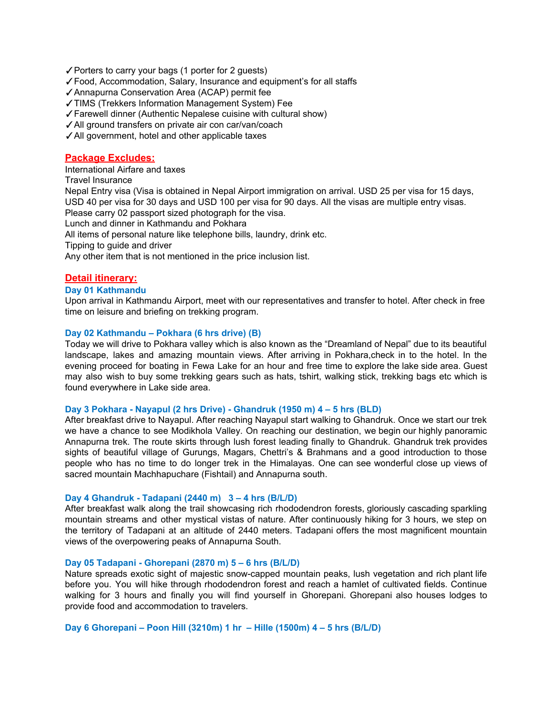- ✓Porters to carry your bags (1 porter for 2 guests)
- ✓Food, Accommodation, Salary, Insurance and equipment's for all staffs
- ✓Annapurna Conservation Area (ACAP) permit fee
- ✓TIMS (Trekkers Information Management System) Fee
- ✓Farewell dinner (Authentic Nepalese cuisine with cultural show)
- ✓All ground transfers on private air con car/van/coach
- ✓All government, hotel and other applicable taxes

## **Package Excludes:**

International Airfare and taxes

Travel Insurance

Nepal Entry visa (Visa is obtained in Nepal Airport immigration on arrival. USD 25 per visa for 15 days, USD 40 per visa for 30 days and USD 100 per visa for 90 days. All the visas are multiple entry visas. Please carry 02 passport sized photograph for the visa.

Lunch and dinner in Kathmandu and Pokhara

All items of personal nature like telephone bills, laundry, drink etc.

Tipping to guide and driver

Any other item that is not mentioned in the price inclusion list.

### **Detail itinerary:**

### **Day 01 Kathmandu**

Upon arrival in Kathmandu Airport, meet with our representatives and transfer to hotel. After check in free time on leisure and briefing on trekking program.

#### **Day 02 Kathmandu – Pokhara (6 hrs drive) (B)**

Today we will drive to Pokhara valley which is also known as the "Dreamland of Nepal" due to its beautiful landscape, lakes and amazing mountain views. After arriving in Pokhara,check in to the hotel. In the evening proceed for boating in Fewa Lake for an hour and free time to explore the lake side area. Guest may also wish to buy some trekking gears such as hats, tshirt, walking stick, trekking bags etc which is found everywhere in Lake side area.

#### **Day 3 Pokhara - Nayapul (2 hrs Drive) - Ghandruk (1950 m) 4 – 5 hrs (BLD)**

After breakfast drive to Nayapul. After reaching Nayapul start walking to Ghandruk. Once we start our trek we have a chance to see Modikhola Valley. On reaching our destination, we begin our highly panoramic Annapurna trek. The route skirts through lush forest leading finally to Ghandruk. Ghandruk trek provides sights of beautiful village of Gurungs, Magars, Chettri's & Brahmans and a good introduction to those people who has no time to do longer trek in the Himalayas. One can see wonderful close up views of sacred mountain Machhapuchare (Fishtail) and Annapurna south.

#### **Day 4 Ghandruk - Tadapani (2440 m) 3 – 4 hrs (B/L/D)**

After breakfast walk along the trail showcasing rich rhododendron forests, gloriously cascading sparkling mountain streams and other mystical vistas of nature. After continuously hiking for 3 hours, we step on the territory of Tadapani at an altitude of 2440 meters. Tadapani offers the most magnificent mountain views of the overpowering peaks of Annapurna South.

#### **Day 05 Tadapani - Ghorepani (2870 m) 5 – 6 hrs (B/L/D)**

Nature spreads exotic sight of majestic snow-capped mountain peaks, lush vegetation and rich plant life before you. You will hike through rhododendron forest and reach a hamlet of cultivated fields. Continue walking for 3 hours and finally you will find yourself in Ghorepani. Ghorepani also houses lodges to provide food and accommodation to travelers.

**Day 6 Ghorepani – Poon Hill (3210m) 1 hr – Hille (1500m) 4 – 5 hrs (B/L/D)**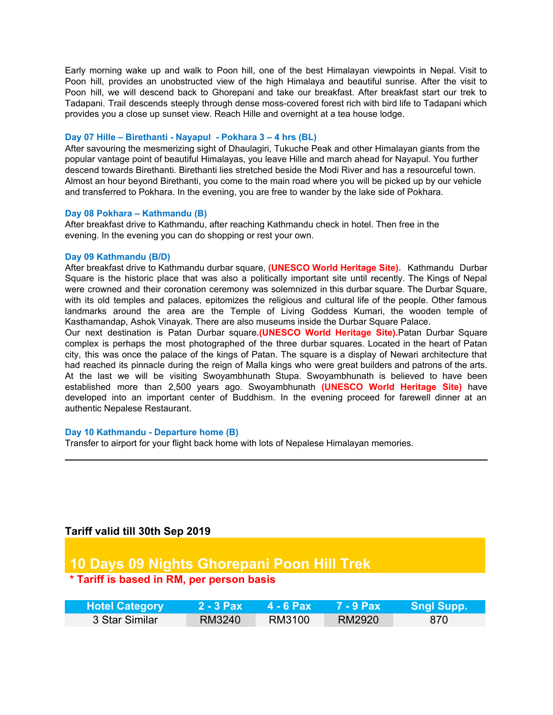Early morning wake up and walk to Poon hill, one of the best Himalayan viewpoints in Nepal. Visit to Poon hill, provides an unobstructed view of the high Himalaya and beautiful sunrise. After the visit to Poon hill, we will descend back to Ghorepani and take our breakfast. After breakfast start our trek to Tadapani. Trail descends steeply through dense moss-covered forest rich with bird life to Tadapani which provides you a close up sunset view. Reach Hille and overnight at a tea house lodge.

#### **Day 07 Hille – Birethanti - Nayapul - Pokhara 3 – 4 hrs (BL)**

After savouring the mesmerizing sight of Dhaulagiri, Tukuche Peak and other Himalayan giants from the popular vantage point of beautiful Himalayas, you leave Hille and march ahead for Nayapul. You further descend towards Birethanti. Birethanti lies stretched beside the Modi River and has a resourceful town. Almost an hour beyond Birethanti, you come to the main road where you will be picked up by our vehicle and transferred to Pokhara. In the evening, you are free to wander by the lake side of Pokhara.

#### **Day 08 Pokhara – Kathmandu (B)**

After breakfast drive to Kathmandu, after reaching Kathmandu check in hotel. Then free in the evening. In the evening you can do shopping or rest your own.

#### **Day 09 Kathmandu (B/D)**

After breakfast drive to Kathmandu durbar square, **(UNESCO World Heritage Site).** Kathmandu Durbar Square is the historic place that was also a politically important site until recently. The Kings of Nepal were crowned and their coronation ceremony was solemnized in this durbar square. The Durbar Square, with its old temples and palaces, epitomizes the religious and cultural life of the people. Other famous landmarks around the area are the Temple of Living Goddess Kumari, the wooden temple of Kasthamandap, Ashok Vinayak. There are also museums inside the Durbar Square Palace.

Our next destination is Patan Durbar square**.(UNESCO World Heritage Site).**Patan Durbar Square complex is perhaps the most photographed of the three durbar squares. Located in the heart of Patan city, this was once the palace of the kings of Patan. The square is a display of Newari architecture that had reached its pinnacle during the reign of Malla kings who were great builders and patrons of the arts. At the last we will be visiting Swoyambhunath Stupa. Swoyambhunath is believed to have been established more than 2,500 years ago. Swoyambhunath **(UNESCO World Heritage Site)** have developed into an important center of Buddhism. In the evening proceed for farewell dinner at an authentic Nepalese Restaurant.

### **Day 10 Kathmandu - Departure home (B)**

Transfer to airport for your flight back home with lots of Nepalese Himalayan memories.

# **Tariff valid till 30th Sep 2019**

# **10 Days 09 Nights Ghorepani Poon Hill Trek**

# **\* Tariff is based in RM, per person basis**

| <b>Hotel Category</b> | $2 - 3$ Pax | <b>4 - 6 Pax</b> | 7 - 9 Pax' | <b>Sngl Supp.</b> |
|-----------------------|-------------|------------------|------------|-------------------|
| 3 Star Similar        | RM3240      | RM3100           | RM2920     | -870              |